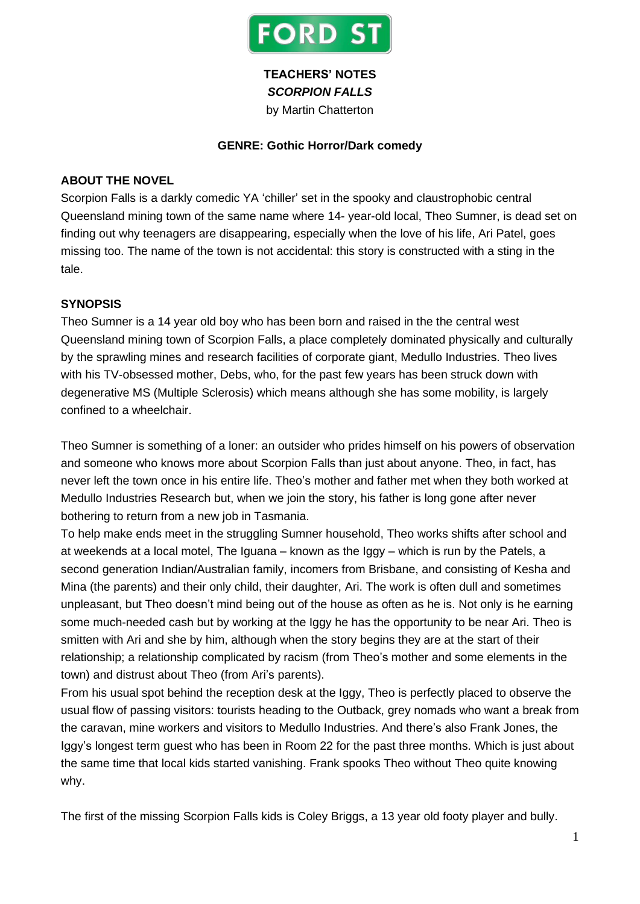

## **TEACHERS' NOTES** *SCORPION FALLS*

by Martin Chatterton

#### **GENRE: Gothic Horror/Dark comedy**

#### **ABOUT THE NOVEL**

Scorpion Falls is a darkly comedic YA 'chiller' set in the spooky and claustrophobic central Queensland mining town of the same name where 14- year-old local, Theo Sumner, is dead set on finding out why teenagers are disappearing, especially when the love of his life, Ari Patel, goes missing too. The name of the town is not accidental: this story is constructed with a sting in the tale.

### **SYNOPSIS**

Theo Sumner is a 14 year old boy who has been born and raised in the the central west Queensland mining town of Scorpion Falls, a place completely dominated physically and culturally by the sprawling mines and research facilities of corporate giant, Medullo Industries. Theo lives with his TV-obsessed mother, Debs, who, for the past few years has been struck down with degenerative MS (Multiple Sclerosis) which means although she has some mobility, is largely confined to a wheelchair.

Theo Sumner is something of a loner: an outsider who prides himself on his powers of observation and someone who knows more about Scorpion Falls than just about anyone. Theo, in fact, has never left the town once in his entire life. Theo's mother and father met when they both worked at Medullo Industries Research but, when we join the story, his father is long gone after never bothering to return from a new job in Tasmania.

To help make ends meet in the struggling Sumner household, Theo works shifts after school and at weekends at a local motel, The Iguana – known as the Iggy – which is run by the Patels, a second generation Indian/Australian family, incomers from Brisbane, and consisting of Kesha and Mina (the parents) and their only child, their daughter, Ari. The work is often dull and sometimes unpleasant, but Theo doesn't mind being out of the house as often as he is. Not only is he earning some much-needed cash but by working at the Iggy he has the opportunity to be near Ari. Theo is smitten with Ari and she by him, although when the story begins they are at the start of their relationship; a relationship complicated by racism (from Theo's mother and some elements in the town) and distrust about Theo (from Ari's parents).

From his usual spot behind the reception desk at the Iggy, Theo is perfectly placed to observe the usual flow of passing visitors: tourists heading to the Outback, grey nomads who want a break from the caravan, mine workers and visitors to Medullo Industries. And there's also Frank Jones, the Iggy's longest term guest who has been in Room 22 for the past three months. Which is just about the same time that local kids started vanishing. Frank spooks Theo without Theo quite knowing why.

The first of the missing Scorpion Falls kids is Coley Briggs, a 13 year old footy player and bully.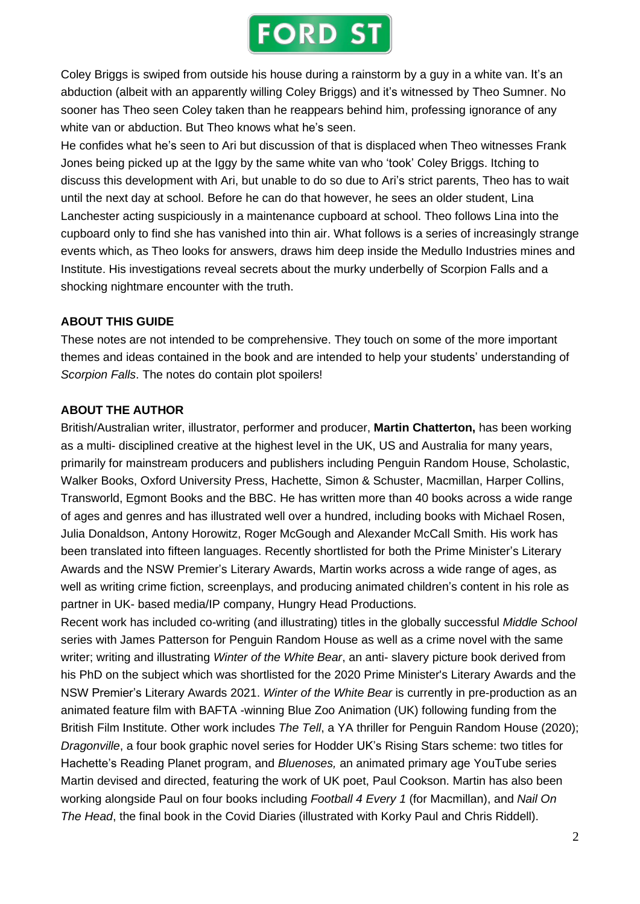## **FORD ST**

Coley Briggs is swiped from outside his house during a rainstorm by a guy in a white van. It's an abduction (albeit with an apparently willing Coley Briggs) and it's witnessed by Theo Sumner. No sooner has Theo seen Coley taken than he reappears behind him, professing ignorance of any white van or abduction. But Theo knows what he's seen.

He confides what he's seen to Ari but discussion of that is displaced when Theo witnesses Frank Jones being picked up at the Iggy by the same white van who 'took' Coley Briggs. Itching to discuss this development with Ari, but unable to do so due to Ari's strict parents, Theo has to wait until the next day at school. Before he can do that however, he sees an older student, Lina Lanchester acting suspiciously in a maintenance cupboard at school. Theo follows Lina into the cupboard only to find she has vanished into thin air. What follows is a series of increasingly strange events which, as Theo looks for answers, draws him deep inside the Medullo Industries mines and Institute. His investigations reveal secrets about the murky underbelly of Scorpion Falls and a shocking nightmare encounter with the truth.

## **ABOUT THIS GUIDE**

These notes are not intended to be comprehensive. They touch on some of the more important themes and ideas contained in the book and are intended to help your students' understanding of *Scorpion Falls*. The notes do contain plot spoilers!

## **ABOUT THE AUTHOR**

British/Australian writer, illustrator, performer and producer, **Martin Chatterton,** has been working as a multi- disciplined creative at the highest level in the UK, US and Australia for many years, primarily for mainstream producers and publishers including Penguin Random House, Scholastic, Walker Books, Oxford University Press, Hachette, Simon & Schuster, Macmillan, Harper Collins, Transworld, Egmont Books and the BBC. He has written more than 40 books across a wide range of ages and genres and has illustrated well over a hundred, including books with Michael Rosen, Julia Donaldson, Antony Horowitz, Roger McGough and Alexander McCall Smith. His work has been translated into fifteen languages. Recently shortlisted for both the Prime Minister's Literary Awards and the NSW Premier's Literary Awards, Martin works across a wide range of ages, as well as writing crime fiction, screenplays, and producing animated children's content in his role as partner in UK- based media/IP company, Hungry Head Productions.

Recent work has included co-writing (and illustrating) titles in the globally successful *Middle School* series with James Patterson for Penguin Random House as well as a crime novel with the same writer; writing and illustrating *Winter of the White Bear*, an anti- slavery picture book derived from his PhD on the subject which was shortlisted for the 2020 Prime Minister's Literary Awards and the NSW Premier's Literary Awards 2021. *Winter of the White Bear* is currently in pre-production as an animated feature film with BAFTA -winning Blue Zoo Animation (UK) following funding from the British Film Institute. Other work includes *The Tell*, a YA thriller for Penguin Random House (2020); *Dragonville*, a four book graphic novel series for Hodder UK's Rising Stars scheme: two titles for Hachette's Reading Planet program, and *Bluenoses,* an animated primary age YouTube series Martin devised and directed, featuring the work of UK poet, Paul Cookson. Martin has also been working alongside Paul on four books including *Football 4 Every 1* (for Macmillan), and *Nail On The Head*, the final book in the Covid Diaries (illustrated with Korky Paul and Chris Riddell).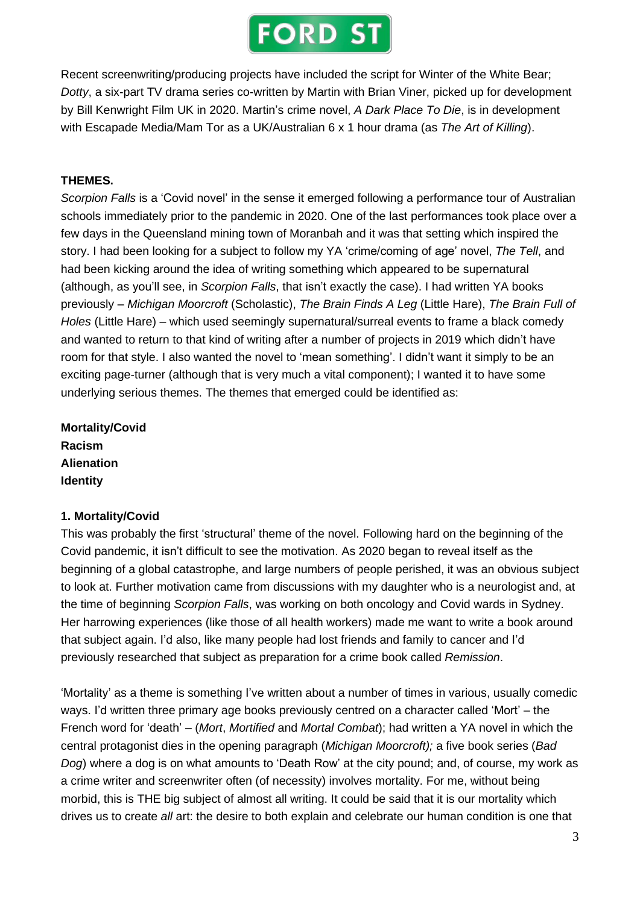

Recent screenwriting/producing projects have included the script for Winter of the White Bear; *Dotty*, a six-part TV drama series co-written by Martin with Brian Viner, picked up for development by Bill Kenwright Film UK in 2020. Martin's crime novel, *A Dark Place To Die*, is in development with Escapade Media/Mam Tor as a UK/Australian 6 x 1 hour drama (as *The Art of Killing*).

#### **THEMES.**

*Scorpion Falls* is a 'Covid novel' in the sense it emerged following a performance tour of Australian schools immediately prior to the pandemic in 2020. One of the last performances took place over a few days in the Queensland mining town of Moranbah and it was that setting which inspired the story. I had been looking for a subject to follow my YA 'crime/coming of age' novel, *The Tell*, and had been kicking around the idea of writing something which appeared to be supernatural (although, as you'll see, in *Scorpion Falls*, that isn't exactly the case). I had written YA books previously – *Michigan Moorcroft* (Scholastic), *The Brain Finds A Leg* (Little Hare), *The Brain Full of Holes* (Little Hare) – which used seemingly supernatural/surreal events to frame a black comedy and wanted to return to that kind of writing after a number of projects in 2019 which didn't have room for that style. I also wanted the novel to 'mean something'. I didn't want it simply to be an exciting page-turner (although that is very much a vital component); I wanted it to have some underlying serious themes. The themes that emerged could be identified as:

**Mortality/Covid Racism Alienation Identity**

#### **1. Mortality/Covid**

This was probably the first 'structural' theme of the novel. Following hard on the beginning of the Covid pandemic, it isn't difficult to see the motivation. As 2020 began to reveal itself as the beginning of a global catastrophe, and large numbers of people perished, it was an obvious subject to look at. Further motivation came from discussions with my daughter who is a neurologist and, at the time of beginning *Scorpion Falls*, was working on both oncology and Covid wards in Sydney. Her harrowing experiences (like those of all health workers) made me want to write a book around that subject again. I'd also, like many people had lost friends and family to cancer and I'd previously researched that subject as preparation for a crime book called *Remission*.

'Mortality' as a theme is something I've written about a number of times in various, usually comedic ways. I'd written three primary age books previously centred on a character called 'Mort' – the French word for 'death' – (*Mort*, *Mortified* and *Mortal Combat*); had written a YA novel in which the central protagonist dies in the opening paragraph (*Michigan Moorcroft);* a five book series (*Bad Dog*) where a dog is on what amounts to 'Death Row' at the city pound; and, of course, my work as a crime writer and screenwriter often (of necessity) involves mortality. For me, without being morbid, this is THE big subject of almost all writing. It could be said that it is our mortality which drives us to create *all* art: the desire to both explain and celebrate our human condition is one that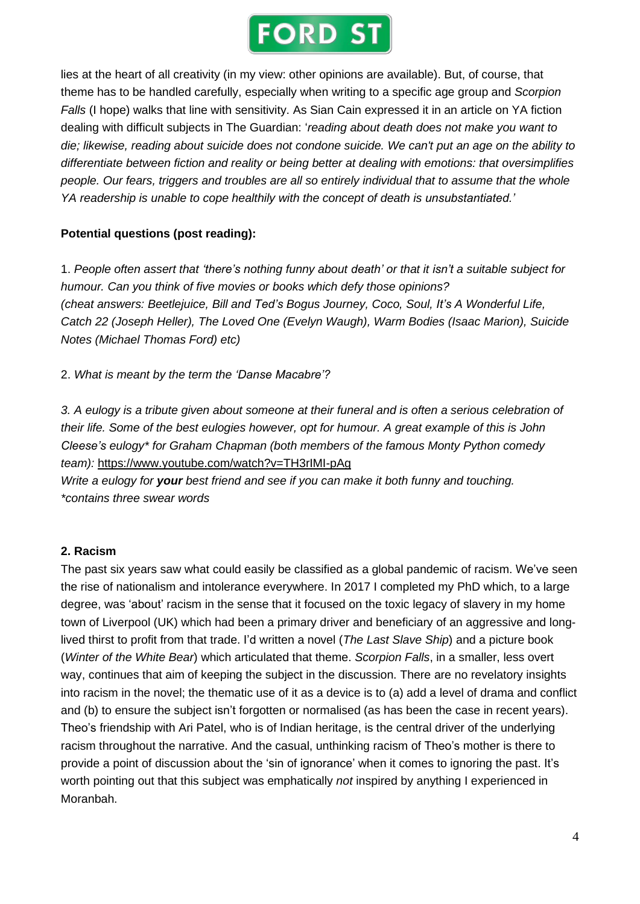

lies at the heart of all creativity (in my view: other opinions are available). But, of course, that theme has to be handled carefully, especially when writing to a specific age group and *Scorpion Falls* (I hope) walks that line with sensitivity. As Sian Cain expressed it in an article on YA fiction dealing with difficult subjects in The Guardian: '*reading about death does not make you want to* die; likewise, reading about suicide does not condone suicide. We can't put an age on the ability to *differentiate between fiction and reality or being better at dealing with emotions: that oversimplifies people. Our fears, triggers and troubles are all so entirely individual that to assume that the whole YA readership is unable to cope healthily with the concept of death is unsubstantiated.'*

### **Potential questions (post reading):**

1. *People often assert that 'there's nothing funny about death' or that it isn't a suitable subject for humour. Can you think of five movies or books which defy those opinions? (cheat answers: Beetlejuice, Bill and Ted's Bogus Journey, Coco, Soul, It's A Wonderful Life, Catch 22 (Joseph Heller), The Loved One (Evelyn Waugh), Warm Bodies (Isaac Marion), Suicide Notes (Michael Thomas Ford) etc)*

2. *What is meant by the term the 'Danse Macabre'?*

3. A eulogy is a tribute given about someone at their funeral and is often a serious celebration of *their life. Some of the best eulogies however, opt for humour. A great example of this is John Cleese's eulogy\* for Graham Chapman (both members of the famous Monty Python comedy team):* <https://www.youtube.com/watch?v=TH3rIMI-pAg> *Write a eulogy for your best friend and see if you can make it both funny and touching.*

*\*contains three swear words* 

### **2. Racism**

The past six years saw what could easily be classified as a global pandemic of racism. We've seen the rise of nationalism and intolerance everywhere. In 2017 I completed my PhD which, to a large degree, was 'about' racism in the sense that it focused on the toxic legacy of slavery in my home town of Liverpool (UK) which had been a primary driver and beneficiary of an aggressive and longlived thirst to profit from that trade. I'd written a novel (*The Last Slave Ship*) and a picture book (*Winter of the White Bear*) which articulated that theme. *Scorpion Falls*, in a smaller, less overt way, continues that aim of keeping the subject in the discussion. There are no revelatory insights into racism in the novel; the thematic use of it as a device is to (a) add a level of drama and conflict and (b) to ensure the subject isn't forgotten or normalised (as has been the case in recent years). Theo's friendship with Ari Patel, who is of Indian heritage, is the central driver of the underlying racism throughout the narrative. And the casual, unthinking racism of Theo's mother is there to provide a point of discussion about the 'sin of ignorance' when it comes to ignoring the past. It's worth pointing out that this subject was emphatically *not* inspired by anything I experienced in Moranbah.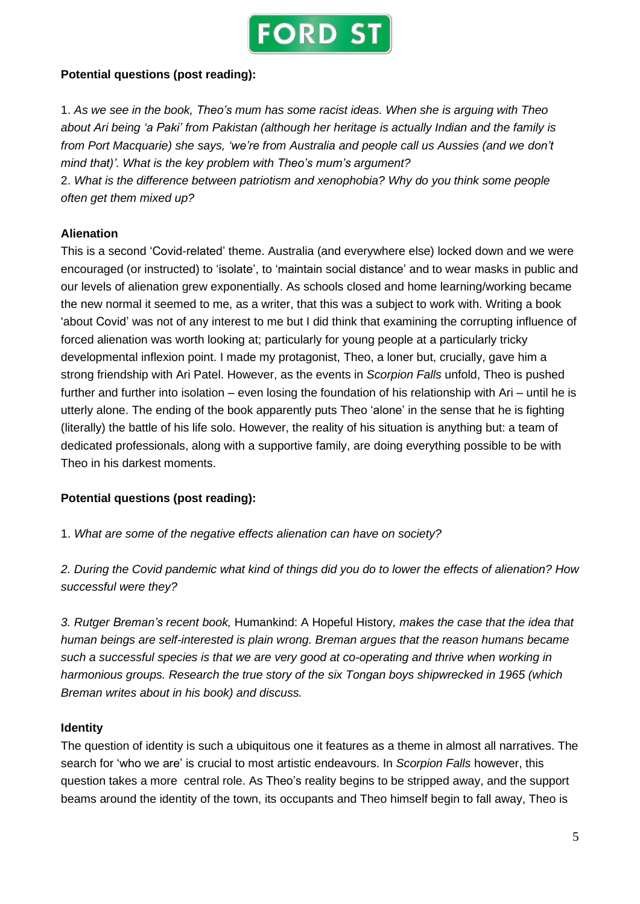

#### **Potential questions (post reading):**

1. *As we see in the book, Theo's mum has some racist ideas. When she is arguing with Theo about Ari being 'a Paki' from Pakistan (although her heritage is actually Indian and the family is from Port Macquarie) she says, 'we're from Australia and people call us Aussies (and we don't mind that)'. What is the key problem with Theo's mum's argument?*

2. *What is the difference between patriotism and xenophobia? Why do you think some people often get them mixed up?*

#### **Alienation**

This is a second 'Covid-related' theme. Australia (and everywhere else) locked down and we were encouraged (or instructed) to 'isolate', to 'maintain social distance' and to wear masks in public and our levels of alienation grew exponentially. As schools closed and home learning/working became the new normal it seemed to me, as a writer, that this was a subject to work with. Writing a book 'about Covid' was not of any interest to me but I did think that examining the corrupting influence of forced alienation was worth looking at; particularly for young people at a particularly tricky developmental inflexion point. I made my protagonist, Theo, a loner but, crucially, gave him a strong friendship with Ari Patel. However, as the events in *Scorpion Falls* unfold, Theo is pushed further and further into isolation – even losing the foundation of his relationship with Ari – until he is utterly alone. The ending of the book apparently puts Theo 'alone' in the sense that he is fighting (literally) the battle of his life solo. However, the reality of his situation is anything but: a team of dedicated professionals, along with a supportive family, are doing everything possible to be with Theo in his darkest moments.

### **Potential questions (post reading):**

1. *What are some of the negative effects alienation can have on society?*

2. During the Covid pandemic what kind of things did you do to lower the effects of alienation? How *successful were they?*

*3. Rutger Breman's recent book,* Humankind: A Hopeful History*, makes the case that the idea that human beings are self-interested is plain wrong. Breman argues that the reason humans became such a successful species is that we are very good at co-operating and thrive when working in harmonious groups. Research the true story of the six Tongan boys shipwrecked in 1965 (which Breman writes about in his book) and discuss.*

#### **Identity**

The question of identity is such a ubiquitous one it features as a theme in almost all narratives. The search for 'who we are' is crucial to most artistic endeavours. In *Scorpion Falls* however, this question takes a more central role. As Theo's reality begins to be stripped away, and the support beams around the identity of the town, its occupants and Theo himself begin to fall away, Theo is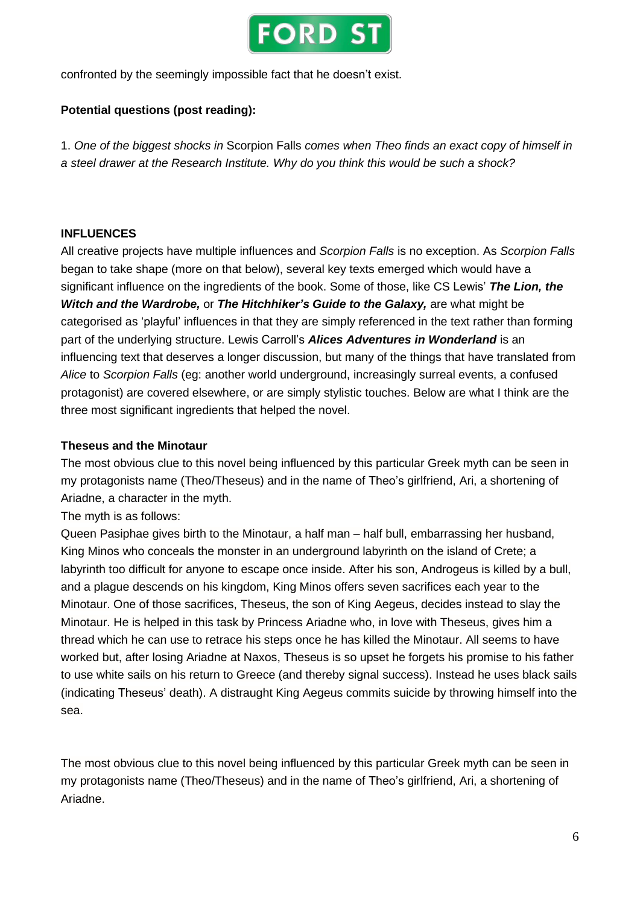

confronted by the seemingly impossible fact that he doesn't exist.

## **Potential questions (post reading):**

1. *One of the biggest shocks in* Scorpion Falls *comes when Theo finds an exact copy of himself in a steel drawer at the Research Institute. Why do you think this would be such a shock?*

## **INFLUENCES**

All creative projects have multiple influences and *Scorpion Falls* is no exception. As *Scorpion Falls* began to take shape (more on that below), several key texts emerged which would have a significant influence on the ingredients of the book. Some of those, like CS Lewis' *The Lion, the Witch and the Wardrobe,* or *The Hitchhiker's Guide to the Galaxy,* are what might be categorised as 'playful' influences in that they are simply referenced in the text rather than forming part of the underlying structure. Lewis Carroll's *Alices Adventures in Wonderland* is an influencing text that deserves a longer discussion, but many of the things that have translated from *Alice* to *Scorpion Falls* (eg: another world underground, increasingly surreal events, a confused protagonist) are covered elsewhere, or are simply stylistic touches. Below are what I think are the three most significant ingredients that helped the novel.

### **Theseus and the Minotaur**

The most obvious clue to this novel being influenced by this particular Greek myth can be seen in my protagonists name (Theo/Theseus) and in the name of Theo's girlfriend, Ari, a shortening of Ariadne, a character in the myth.

The myth is as follows:

Queen Pasiphae gives birth to the Minotaur, a half man – half bull, embarrassing her husband, King Minos who conceals the monster in an underground labyrinth on the island of Crete; a labyrinth too difficult for anyone to escape once inside. After his son, Androgeus is killed by a bull, and a plague descends on his kingdom, King Minos offers seven sacrifices each year to the Minotaur. One of those sacrifices, Theseus, the son of King Aegeus, decides instead to slay the Minotaur. He is helped in this task by Princess Ariadne who, in love with Theseus, gives him a thread which he can use to retrace his steps once he has killed the Minotaur. All seems to have worked but, after losing Ariadne at Naxos, Theseus is so upset he forgets his promise to his father to use white sails on his return to Greece (and thereby signal success). Instead he uses black sails (indicating Theseus' death). A distraught King Aegeus commits suicide by throwing himself into the sea.

The most obvious clue to this novel being influenced by this particular Greek myth can be seen in my protagonists name (Theo/Theseus) and in the name of Theo's girlfriend, Ari, a shortening of Ariadne.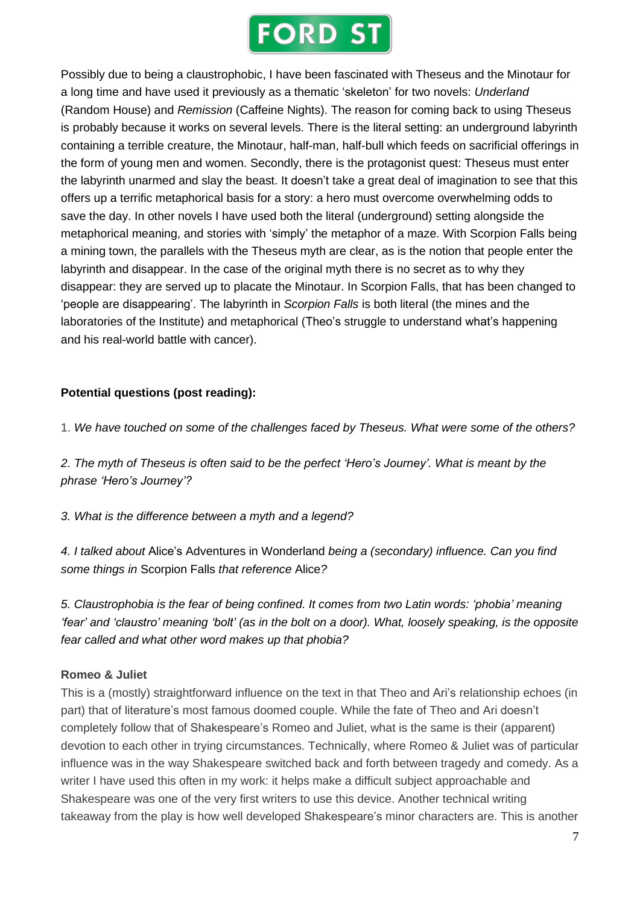## **FORD ST**

Possibly due to being a claustrophobic, I have been fascinated with Theseus and the Minotaur for a long time and have used it previously as a thematic 'skeleton' for two novels: *Underland* (Random House) and *Remission* (Caffeine Nights). The reason for coming back to using Theseus is probably because it works on several levels. There is the literal setting: an underground labyrinth containing a terrible creature, the Minotaur, half-man, half-bull which feeds on sacrificial offerings in the form of young men and women. Secondly, there is the protagonist quest: Theseus must enter the labyrinth unarmed and slay the beast. It doesn't take a great deal of imagination to see that this offers up a terrific metaphorical basis for a story: a hero must overcome overwhelming odds to save the day. In other novels I have used both the literal (underground) setting alongside the metaphorical meaning, and stories with 'simply' the metaphor of a maze. With Scorpion Falls being a mining town, the parallels with the Theseus myth are clear, as is the notion that people enter the labyrinth and disappear. In the case of the original myth there is no secret as to why they disappear: they are served up to placate the Minotaur. In Scorpion Falls, that has been changed to 'people are disappearing'. The labyrinth in *Scorpion Falls* is both literal (the mines and the laboratories of the Institute) and metaphorical (Theo's struggle to understand what's happening and his real-world battle with cancer).

## **Potential questions (post reading):**

1. *We have touched on some of the challenges faced by Theseus. What were some of the others?*

2. The myth of Theseus is often said to be the perfect 'Hero's Journey'. What is meant by the *phrase 'Hero's Journey'?*

*3. What is the difference between a myth and a legend?*

*4. I talked about* Alice's Adventures in Wonderland *being a (secondary) influence. Can you find some things in* Scorpion Falls *that reference* Alice*?*

*5. Claustrophobia is the fear of being confined. It comes from two Latin words: 'phobia' meaning* 'fear' and 'claustro' meaning 'bolt' (as in the bolt on a door). What, loosely speaking, is the opposite *fear called and what other word makes up that phobia?*

### **Romeo & Juliet**

This is a (mostly) straightforward influence on the text in that Theo and Ari's relationship echoes (in part) that of literature's most famous doomed couple. While the fate of Theo and Ari doesn't completely follow that of Shakespeare's Romeo and Juliet, what is the same is their (apparent) devotion to each other in trying circumstances. Technically, where Romeo & Juliet was of particular influence was in the way Shakespeare switched back and forth between tragedy and comedy. As a writer I have used this often in my work: it helps make a difficult subject approachable and Shakespeare was one of the very first writers to use this device. Another technical writing takeaway from the play is how well developed Shakespeare's minor characters are. This is another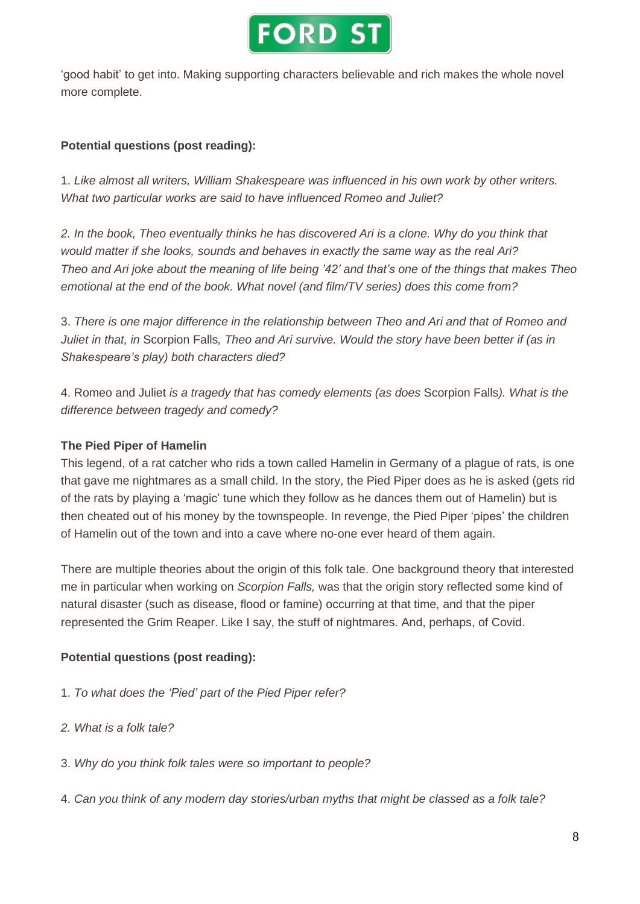

'good habit' to get into. Making supporting characters believable and rich makes the whole novel more complete.

## **Potential questions (post reading):**

1. *Like almost all writers, William Shakespeare was influenced in his own work by other writers. What two particular works are said to have influenced Romeo and Juliet?*

2. In the book. Theo eventually thinks he has discovered Ari is a clone. Why do you think that *would matter if she looks, sounds and behaves in exactly the same way as the real Ari?* Theo and Ari joke about the meaning of life being '42' and that's one of the things that makes Theo *emotional at the end of the book. What novel (and film/TV series) does this come from?*

3. *There is one major difference in the relationship between Theo and Ari and that of Romeo and* Juliet in that, in Scorpion Falls, Theo and Ari survive. Would the story have been better if (as in *Shakespeare's play) both characters died?*

4. Romeo and Juliet *is a tragedy that has comedy elements (as does* Scorpion Falls*). What is the difference between tragedy and comedy?*

## **The Pied Piper of Hamelin**

This legend, of a rat catcher who rids a town called Hamelin in Germany of a plague of rats, is one that gave me nightmares as a small child. In the story, the Pied Piper does as he is asked (gets rid of the rats by playing a 'magic' tune which they follow as he dances them out of Hamelin) but is then cheated out of his money by the townspeople. In revenge, the Pied Piper 'pipes' the children of Hamelin out of the town and into a cave where no-one ever heard of them again.

There are multiple theories about the origin of this folk tale. One background theory that interested me in particular when working on *Scorpion Falls,* was that the origin story reflected some kind of natural disaster (such as disease, flood or famine) occurring at that time, and that the piper represented the Grim Reaper. Like I say, the stuff of nightmares. And, perhaps, of Covid.

### **Potential questions (post reading):**

- 1. *To what does the 'Pied' part of the Pied Piper refer?*
- *2. What is a folk tale?*
- 3. *Why do you think folk tales were so important to people?*
- 4. *Can you think of any modern day stories/urban myths that might be classed as a folk tale?*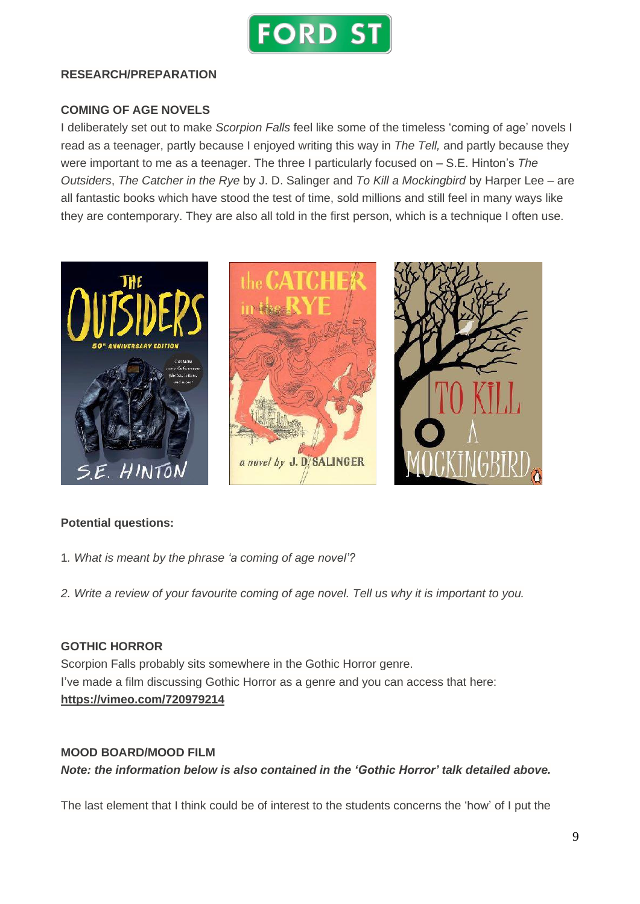

#### **RESEARCH/PREPARATION**

### **COMING OF AGE NOVELS**

I deliberately set out to make *Scorpion Falls* feel like some of the timeless 'coming of age' novels I read as a teenager, partly because I enjoyed writing this way in *The Tell,* and partly because they were important to me as a teenager. The three I particularly focused on – S.E. Hinton's *The Outsiders*, *The Catcher in the Rye* by J. D. Salinger and *To Kill a Mockingbird* by Harper Lee – are all fantastic books which have stood the test of time, sold millions and still feel in many ways like they are contemporary. They are also all told in the first person, which is a technique I often use.



#### **Potential questions:**

- 1*. What is meant by the phrase 'a coming of age novel'?*
- 2. Write a review of your favourite coming of age novel. Tell us why it is important to you.

#### **GOTHIC HORROR**

Scorpion Falls probably sits somewhere in the Gothic Horror genre. I've made a film discussing Gothic Horror as a genre and you can access that here: **<https://vimeo.com/720979214>**

#### **MOOD BOARD/MOOD FILM**

*Note: the information below is also contained in the 'Gothic Horror' talk detailed above.*

The last element that I think could be of interest to the students concerns the 'how' of I put the